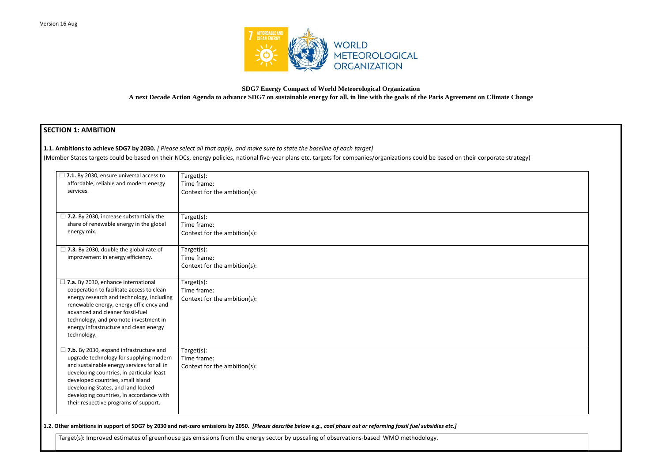

# **SDG7 Energy Compact of World Meteorological Organization A next Decade Action Agenda to advance SDG7 on sustainable energy for all, in line with the goals of the Paris Agreement on Climate Change**

# **SECTION 1: AMBITION**

**1.1. Ambitions to achieve SDG7 by 2030.** *[ Please select all that apply, and make sure to state the baseline of each target]* 

(Member States targets could be based on their NDCs, energy policies, national five-year plans etc. targets for companies/organizations could be based on their corporat

| $\Box$ 7.1. By 2030, ensure universal access to<br>affordable, reliable and modern energy<br>services.                                                                                                                                                                                                                                               | $Target(s)$ :<br>Time frame:<br>Context for the ambition(s): |
|------------------------------------------------------------------------------------------------------------------------------------------------------------------------------------------------------------------------------------------------------------------------------------------------------------------------------------------------------|--------------------------------------------------------------|
| $\Box$ 7.2. By 2030, increase substantially the<br>share of renewable energy in the global<br>energy mix.                                                                                                                                                                                                                                            | Target(s):<br>Time frame:<br>Context for the ambition(s):    |
| $\Box$ 7.3. By 2030, double the global rate of<br>improvement in energy efficiency.                                                                                                                                                                                                                                                                  | Target(s):<br>Time frame:<br>Context for the ambition(s):    |
| $\Box$ 7.a. By 2030, enhance international<br>cooperation to facilitate access to clean<br>energy research and technology, including<br>renewable energy, energy efficiency and<br>advanced and cleaner fossil-fuel<br>technology, and promote investment in<br>energy infrastructure and clean energy<br>technology.                                | Target(s):<br>Time frame:<br>Context for the ambition(s):    |
| $\Box$ 7.b. By 2030, expand infrastructure and<br>upgrade technology for supplying modern<br>and sustainable energy services for all in<br>developing countries, in particular least<br>developed countries, small island<br>developing States, and land-locked<br>developing countries, in accordance with<br>their respective programs of support. | Target(s):<br>Time frame:<br>Context for the ambition(s):    |

**1.2. Other ambitions in support of SDG7 by 2030 and net-zero emissions by 2050.** *[Please describe below e.g., coal phase out or reforming fossil fuel subsidies etc.]*

Target(s): Improved estimates of greenhouse gas emissions from the energy sector by upscaling of observations-based WMO methodology.

| te strategy) |  |
|--------------|--|
|              |  |
|              |  |
|              |  |
|              |  |
|              |  |
|              |  |
|              |  |
|              |  |
|              |  |
|              |  |
|              |  |
|              |  |
|              |  |
|              |  |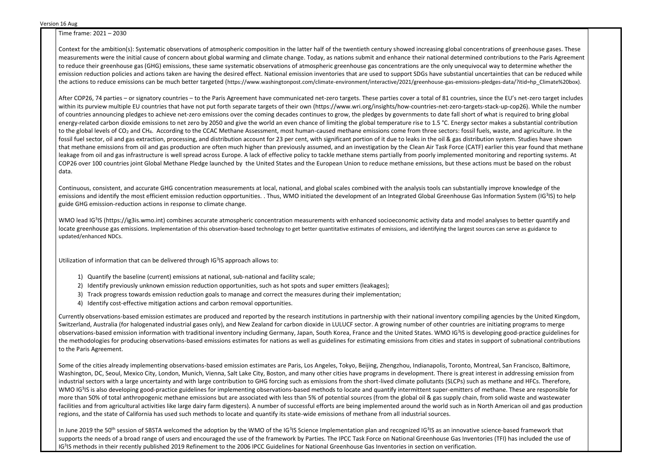Time frame: 2021 – 2030

Context for the ambition(s): Systematic observations of atmospheric composition in the latter half of the twentieth century showed increasing global concentrations of greenhouse gases. These measurements were the initial cause of concern about global warming and climate change. Today, as nations submit and enhance their national determined contributions to the Paris Agreement to reduce their greenhouse gas (GHG) emissions, these same systematic observations of atmospheric greenhouse gas concentrations are the only unequivocal way to determine whether the emission reduction policies and actions taken are having the desired effect. National emission inventories that are used to support SDGs have substantial uncertainties that can be reduced while the actions to reduce emissions can be much better targeted (https://www.washingtonpost.com/climate-environment/interactive/2021/greenhouse-gas-emissions-pledges-data/?itid=hp\_Climate%20box).

After COP26, 74 parties – or signatory countries – to the Paris Agreement have communicated net-zero targets. These parties cover a total of 81 countries, since the EU's net-zero target includes within its purview multiple EU countries that have not put forth separate targets of their own (https://www.wri.org/insights/how-countries-net-zero-targets-stack-up-cop26). While the number of countries announcing pledges to achieve net-zero emissions over the coming decades continues to grow, the pledges by governments to date fall short of what is required to bring global energy-related carbon dioxide emissions to net zero by 2050 and give the world an even chance of limiting the global temperature rise to 1.5 °C. Energy sector makes a substantial contribution to the global levels of CO<sub>2</sub> and CH<sub>4</sub>. According to the CCAC Methane Assessment, most human-caused methane emissions come from three sectors: fossil fuels, waste, and agriculture. In the fossil fuel sector, oil and gas extraction, processing, and distribution account for 23 per cent, with significant portion of it due to leaks in the oil & gas distribution system. Studies have shown that methane emissions from oil and gas production are often much higher than previously assumed, and an investigation by the Clean Air Task Force (CATF) earlier this year found that methane leakage from oil and gas infrastructure is well spread across Europe. A lack of effective policy to tackle methane stems partially from poorly implemented monitoring and reporting systems. At COP26 over 100 countries joint Global Methane Pledge launched by the United States and the European Union to reduce methane emissions, but these actions must be based on the robust data.

WMO lead IG<sup>3</sup>IS (https://ig3is.wmo.int) combines accurate atmospheric concentration measurements with enhanced socioeconomic activity data and model analyses to better quantify and locate greenhouse gas emissions. Implementation of this observation-based technology to get better quantitative estimates of emissions, and identifying the largest sources can serve as guidance to updated/enhanced NDCs.

Utilization of information that can be delivered through IG<sup>3</sup>IS approach allows to:

Continuous, consistent, and accurate GHG concentration measurements at local, national, and global scales combined with the analysis tools can substantially improve knowledge of the emissions and identify the most efficient emission reduction opportunities. . Thus, WMO initiated the development of an Integrated Global Greenhouse Gas Information System (IG<sup>3</sup>IS) to help guide GHG emission-reduction actions in response to climate change.

Some of the cities already implementing observations-based emission estimates are Paris, Los Angeles, Tokyo, Beijing, Zhengzhou, Indianapolis, Toronto, Montreal, San Francisco, Baltimore, Washington, DC, Seoul, Mexico City, London, Munich, Vienna, Salt Lake City, Boston, and many other cities have programs in development. There is great interest in addressing emission from industrial sectors with a large uncertainty and with large contribution to GHG forcing such as emissions from the short-lived climate pollutants (SLCPs) such as methane and HFCs. Therefore, WMO IG<sup>3</sup>IS is also developing good-practice guidelines for implementing observations-based methods to locate and quantify intermittent super-emitters of methane. These are responsible for more than 50% of total anthropogenic methane emissions but are associated with less than 5% of potential sources (from the global oil & gas supply chain, from solid waste and wastewater facilities and from agricultural activities like large dairy farm digesters). A number of successful efforts are being implemented around the world such as in North American oil and gas production regions, and the state of California has used such methods to locate and quantify its state-wide emissions of methane from all industrial sources.

In June 2019 the 50<sup>th</sup> session of SBSTA welcomed the adoption by the WMO of the IG<sup>3</sup>IS Science Implementation plan and recognized IG<sup>3</sup>IS as an innovative science-based framework that supports the needs of a broad range of users and encouraged the use of the framework by Parties. The IPCC Task Force on National Greenhouse Gas Inventories (TFI) has included the use of IG<sup>3</sup>IS methods in their recently published 2019 Refinement to the 2006 IPCC Guidelines for National Greenhouse Gas Inventories in section on verification.

- 1) Quantify the baseline (current) emissions at national, sub-national and facility scale;
- 2) Identify previously unknown emission reduction opportunities, such as hot spots and super emitters (leakages);
- 3) Track progress towards emission reduction goals to manage and correct the measures during their implementation;
- 4) Identify cost-effective mitigation actions and carbon removal opportunities.

Currently observations-based emission estimates are produced and reported by the research institutions in partnership with their national inventory compiling agencies by the United Kingdom, Switzerland, Australia (for halogenated industrial gases only), and New Zealand for carbon dioxide in LULUCF sector. A growing number of other countries are initiating programs to merge observations-based emission information with traditional inventory including Germany, Japan, South Korea, France and the United States. WMO IG<sup>3</sup>IS is developing good-practice guidelines for the methodologies for producing observations-based emissions estimates for nations as well as guidelines for estimating emissions from cities and states in support of subnational contributions to the Paris Agreement.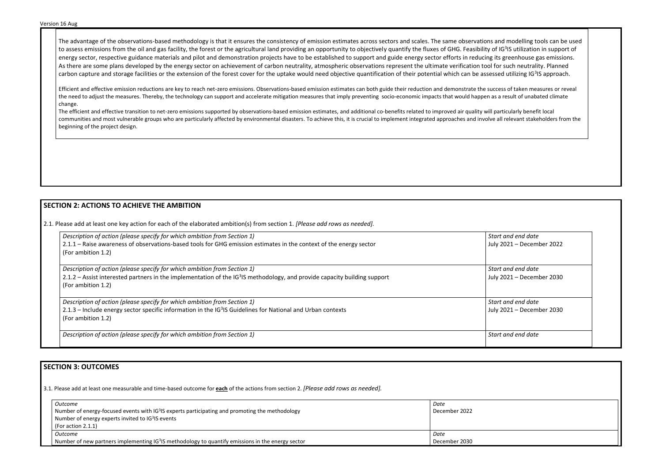The advantage of the observations-based methodology is that it ensures the consistency of emission estimates across sectors and scales. The same observations and modelling tools can be used to assess emissions from the oil and gas facility, the forest or the agricultural land providing an opportunity to objectively quantify the fluxes of GHG. Feasibility of IG<sup>3</sup>IS utilization in support of energy sector, respective guidance materials and pilot and demonstration projects have to be established to support and guide energy sector efforts in reducing its greenhouse gas emissions. As there are some plans developed by the energy sector on achievement of carbon neutrality, atmospheric observations represent the ultimate verification tool for such neutrality. Planned carbon capture and storage facilities or the extension of the forest cover for the uptake would need objective quantification of their potential which can be assessed utilizing IG<sup>3</sup>IS approach.

Efficient and effective emission reductions are key to reach net-zero emissions. Observations-based emission estimates can both guide their reduction and demonstrate the success of taken measures or reveal the need to adjust the measures. Thereby, the technology can support and accelerate mitigation measures that imply preventing socio-economic impacts that would happen as a result of unabated climate change.

> *Start and end date*  2021 – December 2022

> *Start and end date*  2021 – December 2030

> *Start and end date*  2021 – December 2030

The efficient and effective transition to net-zero emissions supported by observations-based emission estimates, and additional co-benefits related to improved air quality will particularly benefit local communities and most vulnerable groups who are particularly affected by environmental disasters. To achieve this, it is crucial to implement integrated approaches and involve all relevant stakeholders from the beginning of the project design.

# **SECTION 2: ACTIONS TO ACHIEVE THE AMBITION**

2.1. Please add at least one key action for each of the elaborated ambition(s) from section 1. *[Please add rows as needed].*

| Description of action (please specify for which ambition from Section 1)                                                              | Start and end date |
|---------------------------------------------------------------------------------------------------------------------------------------|--------------------|
| 2.1.1 – Raise awareness of observations-based tools for GHG emission estimates in the context of the energy sector                    | July 2021 - Deceml |
| (For ambition 1.2)                                                                                                                    |                    |
| Description of action (please specify for which ambition from Section 1)                                                              | Start and end date |
| 2.1.2 – Assist interested partners in the implementation of the IG <sup>3</sup> IS methodology, and provide capacity building support | July 2021 - Deceml |
| (For ambition 1.2)                                                                                                                    |                    |
| Description of action (please specify for which ambition from Section 1)                                                              | Start and end date |
| 2.1.3 – Include energy sector specific information in the IG <sup>3</sup> IS Guidelines for National and Urban contexts               | July 2021 - Deceml |
| (For ambition 1.2)                                                                                                                    |                    |
| Description of action (please specify for which ambition from Section 1)                                                              | Start and end date |
|                                                                                                                                       |                    |

# **SECTION 3: OUTCOMES**

3.1*.* Please add at least one measurable and time-based outcome for **each** of the actions from section 2. *[Please add rows as needed].*

| Outcome                                                                                                            | Date          |
|--------------------------------------------------------------------------------------------------------------------|---------------|
| $\mid$ Number of energy-focused events with IG <sup>3</sup> IS experts participating and promoting the methodology | December 2022 |
| Number of energy experts invited to IG <sup>3</sup> IS events                                                      |               |
| (For action $2.1.1$ )                                                                                              |               |
| <i><u>Outcome</u></i>                                                                                              | Date          |
| Number of new partners implementing IG <sup>3</sup> IS methodology to quantify emissions in the energy sector      | December 2030 |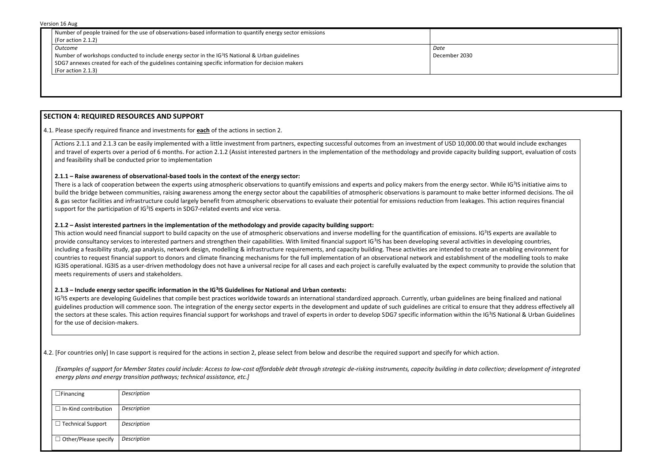Version 16 Aug

| <b>VEISIUIL LU AUX</b>                                                                                                              |               |  |
|-------------------------------------------------------------------------------------------------------------------------------------|---------------|--|
| Number of people trained for the use of observations-based information to quantify energy sector emissions<br>(For action $2.1.2$ ) |               |  |
| Outcome                                                                                                                             | Date          |  |
| Number of workshops conducted to include energy sector in the IG <sup>3</sup> IS National & Urban guidelines                        | December 2030 |  |
| SDG7 annexes created for each of the guidelines containing specific information for decision makers                                 |               |  |
| (For action $2.1.3$ )                                                                                                               |               |  |

## **SECTION 4: REQUIRED RESOURCES AND SUPPORT**

4.1. Please specify required finance and investments for **each** of the actions in section 2.

Actions 2.1.1 and 2.1.3 can be easily implemented with a little investment from partners, expecting successful outcomes from an investment of USD 10,000.00 that would include exchanges and travel of experts over a period of 6 months. For action 2.1.2 (Assist interested partners in the implementation of the methodology and provide capacity building support, evaluation of costs and feasibility shall be conducted prior to implementation

#### **2.1.1 – Raise awareness of observational-based tools in the context of the energy sector:**

There is a lack of cooperation between the experts using atmospheric observations to quantify emissions and experts and policy makers from the energy sector. While IG<sup>3</sup>IS initiative aims to build the bridge between communities, raising awareness among the energy sector about the capabilities of atmospheric observations is paramount to make better informed decisions. The oil & gas sector facilities and infrastructure could largely benefit from atmospheric observations to evaluate their potential for emissions reduction from leakages. This action requires financial support for the participation of IG<sup>3</sup>IS experts in SDG7-related events and vice versa.

This action would need financial support to build capacity on the use of atmospheric observations and inverse modelling for the quantification of emissions. IG<sup>3</sup>IS experts are available to provide consultancy services to interested partners and strengthen their capabilities. With limited financial support IG<sup>3</sup>IS has been developing several activities in developing countries, including a feasibility study, gap analysis, network design, modelling & infrastructure requirements, and capacity building. These activities are intended to create an enabling environment for countries to request financial support to donors and climate financing mechanisms for the full implementation of an observational network and establishment of the modelling tools to make IG3IS operational. IG3IS as a user-driven methodology does not have a universal recipe for all cases and each project is carefully evaluated by the expect community to provide the solution that meets requirements of users and stakeholders.

#### **2.1.2 – Assist interested partners in the implementation of the methodology and provide capacity building support:**

IG<sup>3</sup>IS experts are developing Guidelines that compile best practices worldwide towards an international standardized approach. Currently, urban guidelines are being finalized and national guidelines production will commence soon. The integration of the energy sector experts in the development and update of such guidelines are critical to ensure that they address effectively all the sectors at these scales. This action requires financial support for workshops and travel of experts in order to develop SDG7 specific information within the IG<sup>3</sup>IS National & Urban Guidelines for the use of decision-makers.

#### **2.1.3 – Include energy sector specific information in the IG<sup>3</sup> IS Guidelines for National and Urban contexts:**

4.2. [For countries only] In case support is required for the actions in section 2, please select from below and describe the required support and specify for which action.

*[Examples of support for Member States could include: Access to low-cost affordable debt through strategic de-risking instruments, capacity building in data collection; development of integrated energy plans and energy transition pathways; technical assistance, etc.]*

| $\Box$ Financing                               | Description |
|------------------------------------------------|-------------|
| $\Box$ In-Kind contribution                    | Description |
| □ Technical Support                            | Description |
| $\Box$ Other/Please specify $\Box$ Description |             |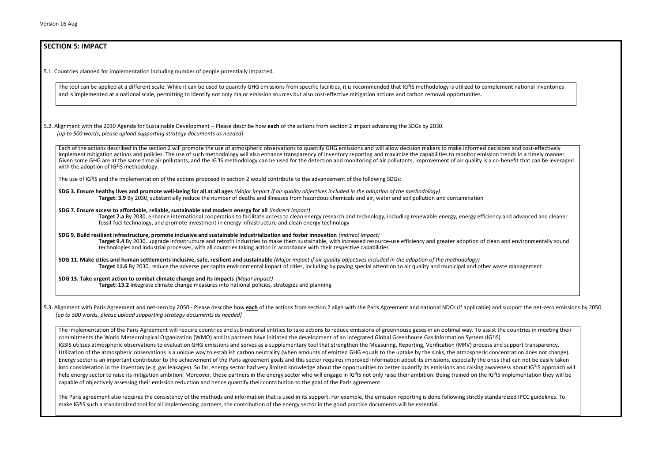**SECTION 5: IMPACT** 

# 5.1. Countries planned for implementation including number of people potentially impacted. The tool can be applied at a different scale. While it can be used to quantify GHG emissions from specific facilities, it is recommended that IG<sup>3</sup>IS methodology is utilized to complement national inventories and is implemented at a national scale, permitting to identify not only major emission sources but also cost-effective mitigation actions and carbon removal opportunities. 5.2. Alignment with the 2030 Agenda for Sustainable Development – Please describe how **each** of the actions from section 2 impact advancing the SDGs by 2030. *[up to 500 words, please upload supporting strategy documents as needed]*  Each of the actions described in the section 2 will promote the use of atmospheric observations to quantify GHG emissions and will allow decision makers to make informed decisions and cost-effectively implement mitigation actions and policies. The use of such methodology will also enhance transparency of inventory reporting and maximize the capabilities to monitor emission trends in a timely manner. Given some GHG are at the same time air pollutants, and the IG<sup>3</sup>IS methodology can be used for the detection and monitoring of air pollutants, improvement of air quality is a co-benefit that can be leveraged with the adoption of IG<sup>3</sup>IS methodology. The use of IG<sup>3</sup>IS and the implementation of the actions proposed in section 2 would contribute to the advancement of the following SDGs: **SDG 3. Ensure healthy lives and promote well-being for all at all ages** *(Major impact if air quality objectives included in the adoption of the methodology)* **Target: 3.9** By 2030, substantially reduce the number of deaths and illnesses from hazardous chemicals and air, water and soil pollution and contamination **SDG 7. Ensure access to affordable, reliable, sustainable and modern energy for all** *(indirect impact)* **Target 7.a** By 2030, enhance international cooperation to facilitate access to clean energy research and technology, including renewable energy, energy efficiency and advanced and cleaner fossil-fuel technology, and promote investment in energy infrastructure and clean energy technology **SDG 9. Build resilient infrastructure, promote inclusive and sustainable industrialization and foster innovation** *(indirect impact)* Target 9.4 By 2030, upgrade infrastructure and retrofit industries to make them sustainable, with increased resource-use efficiency and greater adoption of clean and environmentally sound technologies and industrial processes, with all countries taking action in accordance with their respective capabilities **SDG 11. Make cities and human settlements inclusive, safe, resilient and sustainable** *(Major impact if air quality objectives included in the adoption of the methodology)* **Target 11.6** By 2030, reduce the adverse per capita environmental impact of cities, including by paying special attention to air quality and municipal and other waste management

5.3. Alignment with Paris Agreement and net-zero by 2050 - Please describe how each of the actions from section 2 align with the Paris Agreement and national NDCs (if applicable) and support the net-zero emissions by 2050. *[up to 500 words, please upload supporting strategy documents as needed]* 

**SDG 13. Take urgent action to combat climate change and its impacts** *(Major impact)* **Target: 13.2** Integrate climate change measures into national policies, strategies and planning

The implementation of the Paris Agreement will require countries and sub-national entities to take actions to reduce emissions of greenhouse gases in an optimal way. To assist the countries in meeting their commitments the World Meteorological Organization (WMO) and its partners have initiated the development of an Integrated Global Greenhouse Gas Information System (IG<sup>3</sup>IS). IG3IS utilizes atmospheric observations to evaluation GHG emissions and serves as a supplementary tool that strengthen the Measuring, Reporting, Verification (MRV) process and support transparency. Utilization of the atmospheric observations is a unique way to establish carbon neutrality (when amounts of emitted GHG equals to the uptake by the sinks, the atmospheric concentration does not change). Energy sector is an important contributor to the achievement of the Paris agreement goals and this sector requires improved information about its emissions, especially the ones that can not be easily taken into consideration in the inventory (e.g. gas leakages). So far, energy sector had very limited knowledge about the opportunities to better quantify its emissions and raising awareness about IG<sup>3</sup>IS approach will help energy sector to raise its mitigation ambition. Moreover, those partners in the energy sector who will engage in IG<sup>3</sup>IS not only raise their ambition. Being trained on the IG<sup>3</sup>IS implementation they will be capable of objectively assessing their emission reduction and hence quantify their contribution to the goal of the Paris agreement.

The Paris agreement also requires the consistency of the methods and information that is used in its support. For example, the emission reporting is done following strictly standardized IPCC guidelines. To make IG<sup>3</sup>IS such a standardized tool for all implementing partners, the contribution of the energy sector in the good practice documents will be essential.

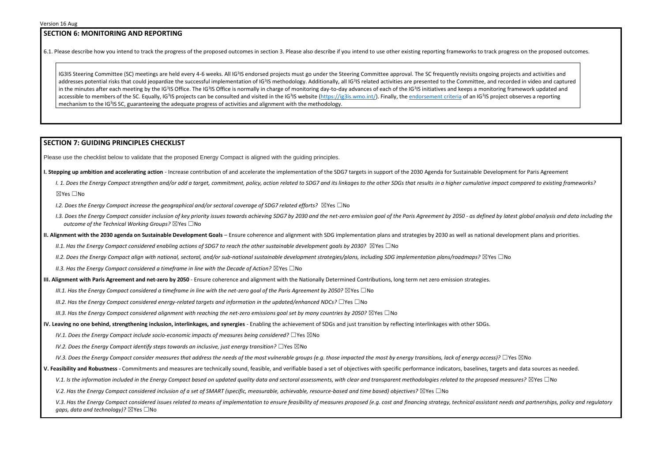### **SECTION 6: MONITORING AND REPORTING**

6.1. Please describe how you intend to track the progress of the proposed outcomes in section 3. Please also describe if you intend to use other existing reporting frameworks to track progress on the proposed outcomes.

IG3IS Steering Committee (SC) meetings are held every 4-6 weeks. All IG<sup>3</sup>IS endorsed projects must go under the Steering Committee approval. The SC frequently revisits ongoing projects and activities and addresses potential risks that could jeopardize the successful implementation of IG<sup>3</sup>IS methodology. Additionally, all IG<sup>3</sup>IS related activities are presented to the Committee, and recorded in video and captured in the minutes after each meeting by the IG<sup>3</sup>IS Office. The IG<sup>3</sup>IS Office is normally in charge of monitoring day-to-day advances of each of the IG<sup>3</sup>IS initiatives and keeps a monitoring framework updated and accessible to members of the SC. Equally, IG<sup>3</sup>IS projects can be consulted and visited in the IG<sup>3</sup>IS website [\(https://ig3is.wmo.int/\)](https://ig3is.wmo.int/). Finally, th[e endorsement criteria](https://wmoomm-my.sharepoint.com/:w:/g/personal/mpespi_wmo_int/EdcedilsPzhBmMGyJtMOp-sB2nMa7BF8Jg1qPrNsOZyZeg?e=tEIaDW) of an IG<sup>3</sup>IS project observes a reporting mechanism to the IG<sup>3</sup>IS SC, guaranteeing the adequate progress of activities and alignment with the methodology.

#### **SECTION 7: GUIDING PRINCIPLES CHECKLIST**

Please use the checklist below to validate that the proposed Energy Compact is aligned with the guiding principles.

- **I. Stepping up ambition and accelerating action** Increase contribution of and accelerate the implementation of the SDG7 targets in support of the 2030 Agenda for Sustainable Development for Paris Agreement
	- I. 1. Does the Energy Compact strengthen and/or add a target, commitment, policy, action related to SDG7 and its linkages to the other SDGs that results in a higher cumulative impact compared to existing frameworks? ☒Yes ☐No
	- *I.2. Does the Energy Compact increase the geographical and/or sectoral coverage of SDG7 related efforts?* ⊠Yes □No
	- 1.3. Does the Energy Compact consider inclusion of key priority issues towards achieving SDG7 by 2030 and the net-zero emission goal of the Paris Agreement by 2050 as defined by latest global analysis and data including *outcome of the Technical Working Groups?* ☒Yes ☐No
- **II. Alignment with the 2030 agenda on Sustainable Development Goals** Ensure coherence and alignment with SDG implementation plans and strategies by 2030 as well as national development plans and priorities.
	- *II.1. Has the Energy Compact considered enabling actions of SDG7 to reach the other sustainable development goals by 2030?* ⊠Yes □No
	- *II.2. Does the Energy Compact align with national, sectoral, and/or sub-national sustainable development strategies/plans, including SDG implementation plans/roadmaps?* ☒Yes ☐No
	- *II.3. Has the Energy Compact considered a timeframe in line with the Decade of Action?* ⊠Yes □No
- **III. Alignment with Paris Agreement and net-zero by 2050** Ensure coherence and alignment with the Nationally Determined Contributions, long term net zero emission strategies.
	- *III.1. Has the Energy Compact considered a timeframe in line with the net-zero goal of the Paris Agreement by 2050?* ⊠Yes □No
	- *III.2. Has the Energy Compact considered energy-related targets and information in the updated/enhanced NDCs?* ☐Yes ☐No
	- *III.3. Has the Energy Compact considered alignment with reaching the net-zero emissions goal set by many countries by 2050?* ⊠Yes □No
- **IV. Leaving no one behind, strengthening inclusion, interlinkages, and synergies** Enabling the achievement of SDGs and just transition by reflecting interlinkages with other SDGs.
	- *IV.1. Does the Energy Compact include socio-economic impacts of measures being considered?* □Yes ⊠No
	- *IV.2. Does the Energy Compact identify steps towards an inclusive, just energy transition?* □Yes ⊠No
	- *IV.3. Does the Energy Compact consider measures that address the needs of the most vulnerable groups (e.g. those impacted the most by energy transitions, lack of energy access)?* □Yes ⊠No
- **V. Feasibility and Robustness -** Commitments and measures are technically sound, feasible, and verifiable based a set of objectives with specific performance indicators, baselines, targets and data sources as needed.
	- V.1. Is the information included in the Energy Compact based on updated quality data and sectoral assessments, with clear and transparent methodologies related to the proposed measures? ⊠Yes □No
	- *V.2. Has the Energy Compact considered inclusion of a set of SMART (specific, measurable, achievable, resource-based and time based) objectives?* ⊠Yes □No

V.3. Has the Energy Compact considered issues related to means of implementation to ensure feasibility of measures proposed (e.g. cost and financing strategy, technical assistant needs and partnerships, policy and regulato *gaps, data and technology)?* ⊠Yes □No